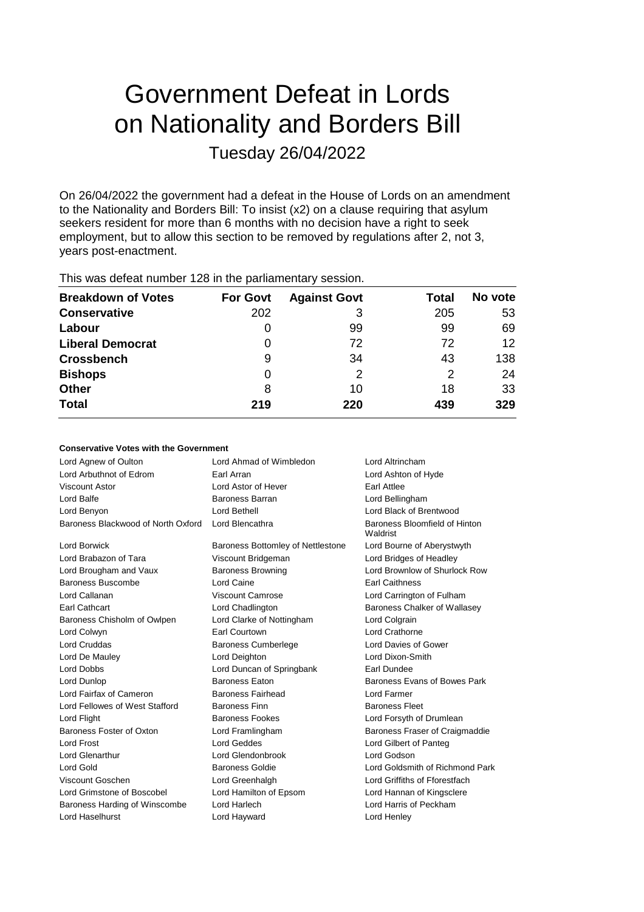# Government Defeat in Lords on Nationality and Borders Bill Tuesday 26/04/2022

On 26/04/2022 the government had a defeat in the House of Lords on an amendment to the Nationality and Borders Bill: To insist (x2) on a clause requiring that asylum seekers resident for more than 6 months with no decision have a right to seek employment, but to allow this section to be removed by regulations after 2, not 3, years post-enactment.

| <b>Breakdown of Votes</b> | <b>For Govt</b> | <b>Against Govt</b> | Total         | No vote           |
|---------------------------|-----------------|---------------------|---------------|-------------------|
| <b>Conservative</b>       | 202             | 3                   | 205           | 53                |
| Labour                    | 0               | 99                  | 99            | 69                |
| <b>Liberal Democrat</b>   | 0               | 72                  | 72            | $12 \overline{ }$ |
| <b>Crossbench</b>         | 9               | 34                  | 43            | 138               |
| <b>Bishops</b>            | 0               | 2                   | $\mathcal{P}$ | 24                |
| <b>Other</b>              | 8               | 10                  | 18            | 33                |
| <b>Total</b>              | 219             | 220                 | 439           | 329               |
|                           |                 |                     |               |                   |

This was defeat number 128 in the parliamentary session.

### **Conservative Votes with the Government**

| Lord Agnew of Oulton               | Lord Ahmad of Wimbledon                  | Lord Altrincham                           |
|------------------------------------|------------------------------------------|-------------------------------------------|
| Lord Arbuthnot of Edrom            | Earl Arran                               | Lord Ashton of Hyde                       |
| Viscount Astor                     | Lord Astor of Hever                      | Earl Attlee                               |
| Lord Balfe                         | Baroness Barran                          | Lord Bellingham                           |
| Lord Benyon                        | Lord Bethell                             | Lord Black of Brentwood                   |
| Baroness Blackwood of North Oxford | Lord Blencathra                          | Baroness Bloomfield of Hinton<br>Waldrist |
| Lord Borwick                       | <b>Baroness Bottomley of Nettlestone</b> | Lord Bourne of Aberystwyth                |
| Lord Brabazon of Tara              | Viscount Bridgeman                       | Lord Bridges of Headley                   |
| Lord Brougham and Vaux             | <b>Baroness Browning</b>                 | Lord Brownlow of Shurlock Row             |
| Baroness Buscombe                  | Lord Caine                               | <b>Earl Caithness</b>                     |
| Lord Callanan                      | Viscount Camrose                         | Lord Carrington of Fulham                 |
| Earl Cathcart                      | Lord Chadlington                         | <b>Baroness Chalker of Wallasey</b>       |
| Baroness Chisholm of Owlpen        | Lord Clarke of Nottingham                | Lord Colgrain                             |
| Lord Colwyn                        | Earl Courtown                            | Lord Crathorne                            |
| <b>Lord Cruddas</b>                | <b>Baroness Cumberlege</b>               | Lord Davies of Gower                      |
| Lord De Mauley                     | Lord Deighton                            | Lord Dixon-Smith                          |
| Lord Dobbs                         | Lord Duncan of Springbank                | Earl Dundee                               |
| Lord Dunlop                        | <b>Baroness Eaton</b>                    | Baroness Evans of Bowes Park              |
| Lord Fairfax of Cameron            | <b>Baroness Fairhead</b>                 | I ord Farmer                              |
| Lord Fellowes of West Stafford     | <b>Baroness Finn</b>                     | <b>Baroness Fleet</b>                     |
| Lord Flight                        | Baroness Fookes                          | Lord Forsyth of Drumlean                  |
| Baroness Foster of Oxton           | Lord Framlingham                         | Baroness Fraser of Craigmaddie            |
| <b>Lord Frost</b>                  | Lord Geddes                              | Lord Gilbert of Panteg                    |
| <b>Lord Glenarthur</b>             | Lord Glendonbrook                        | Lord Godson                               |
| Lord Gold                          | Baroness Goldie                          | Lord Goldsmith of Richmond Park           |
| Viscount Goschen                   | Lord Greenhalgh                          | Lord Griffiths of Fforestfach             |
| Lord Grimstone of Boscobel         | Lord Hamilton of Epsom                   | Lord Hannan of Kingsclere                 |
| Baroness Harding of Winscombe      | Lord Harlech                             | Lord Harris of Peckham                    |
| Lord Haselhurst                    | Lord Hayward                             | Lord Henley                               |
|                                    |                                          |                                           |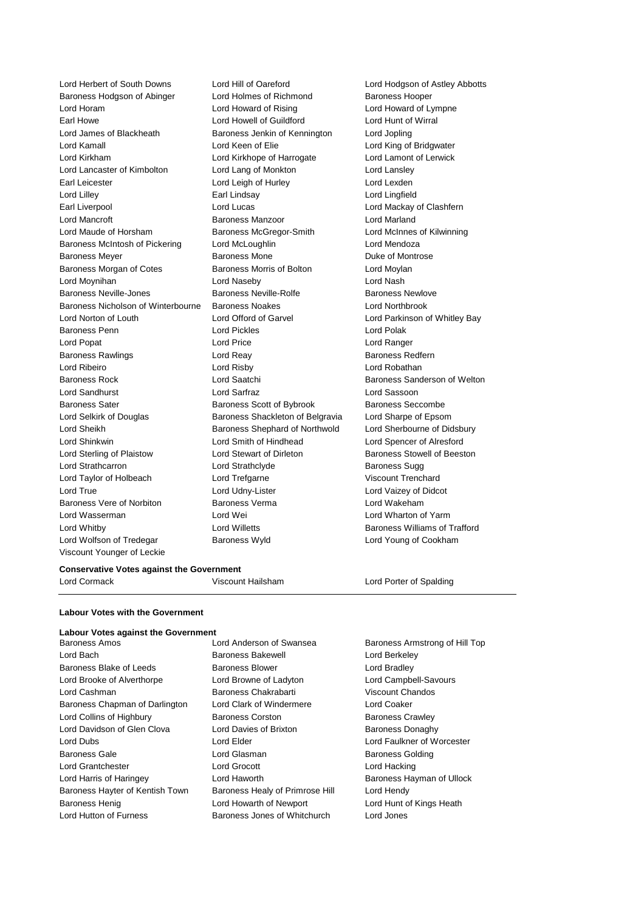Lord Herbert of South Downs Lord Hill of Oareford Lord Hodgson of Astley Abbotts Baroness Hodgson of Abinger Lord Holmes of Richmond Baroness Hooper Lord Horam Lord Howard of Rising Lord Howard of Lympne Earl Howe Lord Howell of Guildford Lord Hunt of Wirral Lord James of Blackheath Baroness Jenkin of Kennington Lord Jopling Lord Kamall Lord Keen of Elie Lord King of Bridgwater Lord Kirkham Lord Kirkhope of Harrogate Lord Lamont of Lerwick Lord Lancaster of Kimbolton Lord Lang of Monkton Lord Lansley Earl Leicester **Lord Leigh of Hurley** Lord Lexden Lord Lilley Earl Lindsay Lord Lingfield Earl Liverpool Lord Lucas Lord Mackay of Clashfern Lord Mancroft Baroness Manzoor Lord Marland Lord Maude of Horsham Baroness McGregor-Smith Lord McInnes of Kilwinning Baroness McIntosh of Pickering Lord McLoughlin Lord Mendoza Baroness Meyer **Baroness Mone** Baroness Mone **Duke of Montrose** Baroness Morgan of Cotes **Baroness Morris of Bolton** Lord Moylan Lord Moynihan Lord Naseby Lord Nash Baroness Neville-Jones Baroness Neville-Rolfe Baroness Newlove Baroness Nicholson of Winterbourne Baroness Noakes Lord Northbrook Lord Norton of Louth Lord Offord of Garvel Lord Parkinson of Whitley Bay Baroness Penn **Lord Pickles** Lord Pickles **Lord Polak** Lord Popat Lord Price Lord Ranger Baroness Rawlings **Example 2** Lord Reay **Baroness Redfern** Lord Ribeiro Lord Risby Lord Robathan Baroness Rock Lord Saatchi Baroness Sanderson of Welton Lord Sandhurst Lord Sarfraz Lord Sassoon Baroness Sater **Baroness Scott of Bybrook** Baroness Seccombe Lord Selkirk of Douglas Baroness Shackleton of Belgravia Lord Sharpe of Epsom Lord Sheikh **Baroness Shephard of Northwold** Lord Sherbourne of Didsbury Lord Shinkwin Lord Smith of Hindhead Lord Spencer of Alresford Lord Sterling of Plaistow Lord Stewart of Dirleton Baroness Stowell of Beeston Lord Strathcarron **Lord Strathclyde** Baroness Sugg Lord Taylor of Holbeach Lord Trefgarne Viscount Trenchard Lord True Lord Udny-Lister Lord Udny-Lister Lord Vaizey of Didcot Baroness Vere of Norbiton Baroness Verma Lord Wakeham Lord Wasserman Lord Wei Lord Wharton of Yarm Lord Whitby Lord Willetts Baroness Williams of Trafford Lord Wolfson of Tredegar Baroness Wyld Lord Young of Cookham Viscount Younger of Leckie

### **Conservative Votes against the Government** Lord Cormack Viscount Hailsham Lord Porter of Spalding

**Labour Votes with the Government**

#### **Labour Votes against the Government**

Baroness Amos Lord Anderson of Swansea Baroness Armstrong of Hill Top Lord Bach **Baroness Bakewell Baroness Bakewell** Lord Berkeley Baroness Blake of Leeds **Baroness Blower** Baroness Blower Lord Bradley Lord Brooke of Alverthorpe Lord Browne of Ladyton Lord Campbell-Savours Lord Cashman **Baroness Chakrabarti** Viscount Chandos Baroness Chapman of Darlington Lord Clark of Windermere Lord Coaker Lord Collins of Highbury **Baroness Corston** Baroness Corston **Baroness Crawley** Lord Davidson of Glen Clova **Lord Davies of Brixton** Baroness Donaghy Lord Dubs Lord Elder Lord Faulkner of Worcester Baroness Gale **Baroness Golding** Lord Glasman **Baroness Golding** Lord Grantchester Lord Grocott Lord Hacking Lord Harris of Haringey **Lord Haworth** Baroness Hayman of Ullock Baroness Hayter of Kentish Town Baroness Healy of Primrose Hill Lord Hendy Baroness Henig **Lord Howarth of Newport** Lord Hunt of Kings Heath Lord Hutton of Furness Baroness Jones of Whitchurch Lord Jones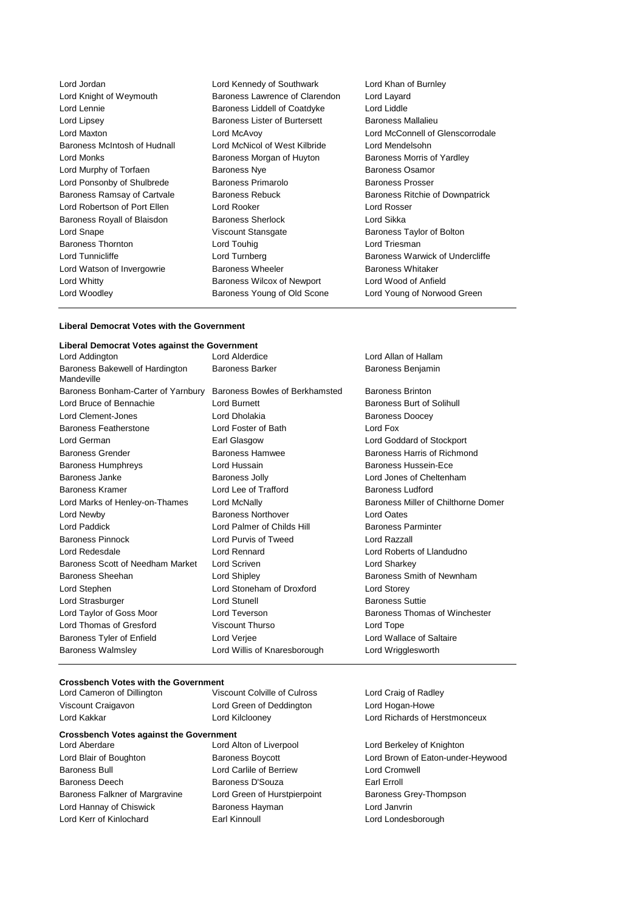Lord Jordan **Lord Communist Lord Kennedy of Southwark** Lord Khan of Burnley<br>
Lord Knight of Weymouth **Exercise Baroness Lawrence of Clarendon** Lord Layard Lord Lennie **Baroness Liddell of Coatdyke** Lord Lipsey **Baroness Lister of Burtersett** Baroness Mallalieu Lord Maxton Lord McAvoy Lord McConnell of Glenscorrodale Baroness McIntosh of Hudnall Lord McNicol of West Kilbride Lord Mendelsohn Lord Monks **Baroness Morgan of Huyton** Baroness Morris of Yardley Lord Murphy of Torfaen **Baroness Nye** Baroness Osamor Lord Ponsonby of Shulbrede Baroness Primarolo Baroness Prosser Baroness Ramsay of Cartvale Baroness Rebuck Baroness Ritchie of Downpatrick Lord Robertson of Port Ellen Lord Rooker Lord Rosser Baroness Royall of Blaisdon Baroness Sherlock **Baroness Sherlock** Lord Sikka Lord Snape **Viscount Stansgate** Baroness Taylor of Bolton<br>
Baroness Thornton **Baroness** Thornton **Baroness** Thornton **Access** Lord Touhig Baroness Thornton Lord Touhig Lord Tunnicliffe **Lord Tunnicliffe** Lord Turnberg **Lord Baroness Warwick of Undercliffe** Lord Watson of Invergowrie **Baroness Wheeler** Baroness Wheeler Baroness Whitaker Lord Whitty Baroness Wilcox of Newport Lord Wood of Anfield Lord Woodley **Baroness Young of Old Scone** Lord Young of Norwood Green

**Baroness Lawrence of Clarendon** Lord Layard<br> **Baroness Liddell of Coatdyke** Lord Liddle

#### **Liberal Democrat Votes with the Government**

#### **Liberal Democrat Votes against the Government**

| Lord Addington                                | Lord Alderdice                 | Lord Allan of Hallam                |  |
|-----------------------------------------------|--------------------------------|-------------------------------------|--|
| Baroness Bakewell of Hardington<br>Mandeville | <b>Baroness Barker</b>         | Baroness Benjamin                   |  |
| Baroness Bonham-Carter of Yarnbury            | Baroness Bowles of Berkhamsted | <b>Baroness Brinton</b>             |  |
| Lord Bruce of Bennachie                       | Lord Burnett                   | Baroness Burt of Solihull           |  |
| Lord Clement-Jones                            | Lord Dholakia                  | <b>Baroness Doocey</b>              |  |
| <b>Baroness Featherstone</b>                  | Lord Foster of Bath            | Lord Fox                            |  |
| Lord German                                   | Earl Glasgow                   | Lord Goddard of Stockport           |  |
| <b>Baroness Grender</b>                       | <b>Baroness Hamwee</b>         | Baroness Harris of Richmond         |  |
| <b>Baroness Humphreys</b>                     | Lord Hussain                   | Baroness Hussein-Ece                |  |
| Baroness Janke                                | <b>Baroness Jolly</b>          | Lord Jones of Cheltenham            |  |
| <b>Baroness Kramer</b>                        | Lord Lee of Trafford           | <b>Baroness Ludford</b>             |  |
| Lord Marks of Henley-on-Thames                | Lord McNally                   | Baroness Miller of Chilthorne Domer |  |
| Lord Newby                                    | <b>Baroness Northover</b>      | Lord Oates                          |  |
| Lord Paddick                                  | Lord Palmer of Childs Hill     | <b>Baroness Parminter</b>           |  |
| <b>Baroness Pinnock</b>                       | Lord Purvis of Tweed           | Lord Razzall                        |  |
| Lord Redesdale                                | Lord Rennard                   | Lord Roberts of Llandudno           |  |
| Baroness Scott of Needham Market              | Lord Scriven                   | Lord Sharkey                        |  |
| Baroness Sheehan                              | Lord Shipley                   | Baroness Smith of Newnham           |  |
| Lord Stephen                                  | Lord Stoneham of Droxford      | Lord Storey                         |  |
| Lord Strasburger                              | Lord Stunell                   | <b>Baroness Suttie</b>              |  |
| Lord Taylor of Goss Moor                      | Lord Teverson                  | Baroness Thomas of Winchester       |  |
| Lord Thomas of Gresford                       | <b>Viscount Thurso</b>         | Lord Tope                           |  |
| Baroness Tyler of Enfield                     | Lord Verjee                    | Lord Wallace of Saltaire            |  |
| <b>Baroness Walmslev</b>                      | Lord Willis of Knaresborough   | Lord Wrigglesworth                  |  |

# **Crossbench Votes with the Government**<br>Lord Cameron of Dillington Vise

Viscount Craigavon Lord Green of Deddington Lord Hogan-Howe Lord Kakkar Lord Kilclooney Lord Richards of Herstmonceux

Viscount Colville of Culross Lord Craig of Radley

## **Crossbench Votes against the Government**

Baroness Bull Lord Carlile of Berriew Lord Cromwell Baroness Deech Baroness D'Souza Baroness Falkner of Margravine Lord Green of Hurstpierpoint Baroness Grey-Thompson Lord Hannay of Chiswick Baroness Hayman Lord Janvrin Lord Kerr of Kinlochard Earl Kinnoull Lord Londesborough

Lord Berkeley of Knighton Lord Blair of Boughton Baroness Boycott Lord Brown of Eaton-under-Heywood